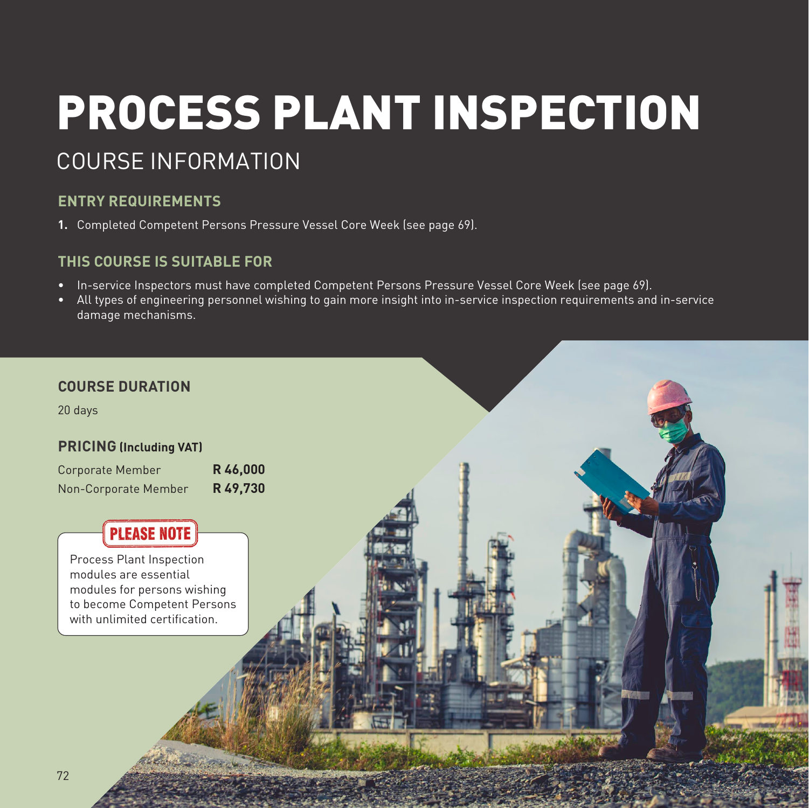# PROCESS PLANT INSPECTION COURSE INFORMATION

## **ENTRY REQUIREMENTS**

**1.** Completed Competent Persons Pressure Vessel Core Week (see page 69).

## **THIS COURSE IS SUITABLE FOR**

- In-service Inspectors must have completed Competent Persons Pressure Vessel Core Week (see page 69).
- All types of engineering personnel wishing to gain more insight into in-service inspection requirements and in-service damage mechanisms.

## **COURSE DURATION**

20 days

## **PRICING (Including VAT)**

| Corporate Member     | R46,000  |
|----------------------|----------|
| Non-Corporate Member | R 49,730 |

# PLEASE NOTE

Process Plant Inspection modules are essential modules for persons wishing to become Competent Persons with unlimited certification.